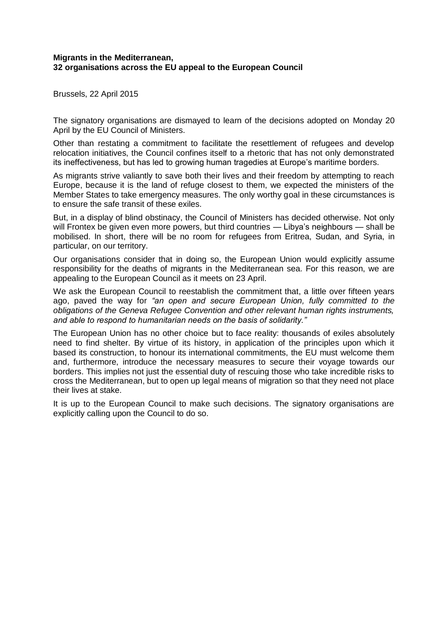## **Migrants in the Mediterranean, 32 organisations across the EU appeal to the European Council**

Brussels, 22 April 2015

The signatory organisations are dismayed to learn of the decisions adopted on Monday 20 April by the EU Council of Ministers.

Other than restating a commitment to facilitate the resettlement of refugees and develop relocation initiatives, the Council confines itself to a rhetoric that has not only demonstrated its ineffectiveness, but has led to growing human tragedies at Europe's maritime borders.

As migrants strive valiantly to save both their lives and their freedom by attempting to reach Europe, because it is the land of refuge closest to them, we expected the ministers of the Member States to take emergency measures. The only worthy goal in these circumstances is to ensure the safe transit of these exiles.

But, in a display of blind obstinacy, the Council of Ministers has decided otherwise. Not only will Frontex be given even more powers, but third countries — Libya's neighbours — shall be mobilised. In short, there will be no room for refugees from Eritrea, Sudan, and Syria, in particular, on our territory.

Our organisations consider that in doing so, the European Union would explicitly assume responsibility for the deaths of migrants in the Mediterranean sea. For this reason, we are appealing to the European Council as it meets on 23 April.

We ask the European Council to reestablish the commitment that, a little over fifteen years ago, paved the way for *"an open and secure European Union, fully committed to the obligations of the Geneva Refugee Convention and other relevant human rights instruments, and able to respond to humanitarian needs on the basis of solidarity."*

The European Union has no other choice but to face reality: thousands of exiles absolutely need to find shelter. By virtue of its history, in application of the principles upon which it based its construction, to honour its international commitments, the EU must welcome them and, furthermore, introduce the necessary measures to secure their voyage towards our borders. This implies not just the essential duty of rescuing those who take incredible risks to cross the Mediterranean, but to open up legal means of migration so that they need not place their lives at stake.

It is up to the European Council to make such decisions. The signatory organisations are explicitly calling upon the Council to do so.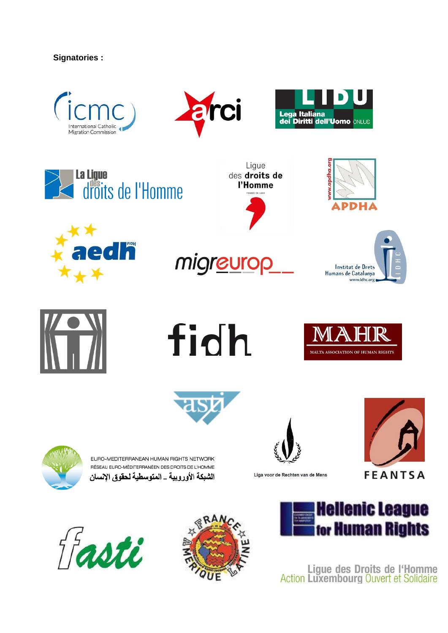## **Signatories:**



















fidh

migreurop





EURO-MEDITERRANEAN HUMAN RIGHTS NETWORK RÉSEAU EURO-MÉDITERRANÉEN DES DROITS DE L'HOMME

الشبكة الأوروبية \_ المتوسطية لحقوق الإنسان



Liga voor de Rechten van de Mens

**FEANTSA** 







Ligue des Droits de l'Homme<br>Action Luxembourg Ouvert et Solidaire